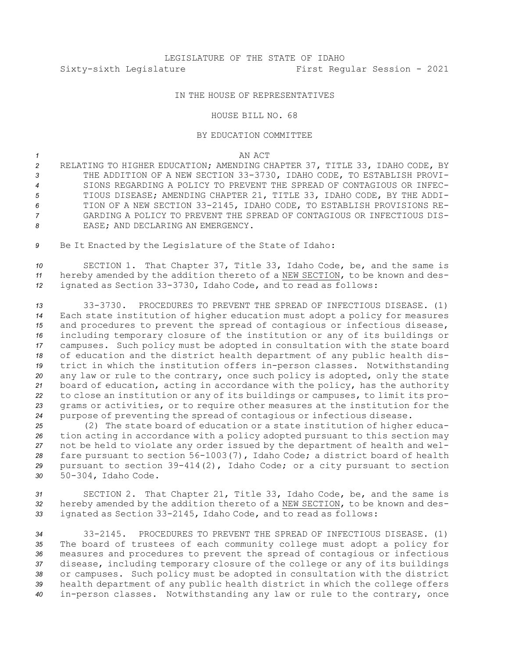## IN THE HOUSE OF REPRESENTATIVES

## HOUSE BILL NO. 68

## BY EDUCATION COMMITTEE

## *1* AN ACT

 RELATING TO HIGHER EDUCATION; AMENDING CHAPTER 37, TITLE 33, IDAHO CODE, BY THE ADDITION OF A NEW SECTION 33-3730, IDAHO CODE, TO ESTABLISH PROVI- SIONS REGARDING A POLICY TO PREVENT THE SPREAD OF CONTAGIOUS OR INFEC- TIOUS DISEASE; AMENDING CHAPTER 21, TITLE 33, IDAHO CODE, BY THE ADDI- TION OF A NEW SECTION 33-2145, IDAHO CODE, TO ESTABLISH PROVISIONS RE- GARDING A POLICY TO PREVENT THE SPREAD OF CONTAGIOUS OR INFECTIOUS DIS-8 EASE; AND DECLARING AN EMERGENCY.

*<sup>9</sup>* Be It Enacted by the Legislature of the State of Idaho:

*<sup>10</sup>* SECTION 1. That Chapter 37, Title 33, Idaho Code, be, and the same is *<sup>11</sup>* hereby amended by the addition thereto of <sup>a</sup> NEW SECTION, to be known and des-*<sup>12</sup>* ignated as Section 33-3730, Idaho Code, and to read as follows:

 33-3730. PROCEDURES TO PREVENT THE SPREAD OF INFECTIOUS DISEASE. (1) Each state institution of higher education must adopt <sup>a</sup> policy for measures and procedures to prevent the spread of contagious or infectious disease, including temporary closure of the institution or any of its buildings or campuses. Such policy must be adopted in consultation with the state board of education and the district health department of any public health dis- trict in which the institution offers in-person classes. Notwithstanding any law or rule to the contrary, once such policy is adopted, only the state board of education, acting in accordance with the policy, has the authority to close an institution or any of its buildings or campuses, to limit its pro- grams or activities, or to require other measures at the institution for the purpose of preventing the spread of contagious or infectious disease.

 (2) The state board of education or <sup>a</sup> state institution of higher educa- tion acting in accordance with <sup>a</sup> policy adopted pursuant to this section may not be held to violate any order issued by the department of health and wel- fare pursuant to section 56-1003(7), Idaho Code; <sup>a</sup> district board of health pursuant to section 39-414(2), Idaho Code; or <sup>a</sup> city pursuant to section 50-304, Idaho Code.

*<sup>31</sup>* SECTION 2. That Chapter 21, Title 33, Idaho Code, be, and the same is *<sup>32</sup>* hereby amended by the addition thereto of <sup>a</sup> NEW SECTION, to be known and des-*<sup>33</sup>* ignated as Section 33-2145, Idaho Code, and to read as follows:

 33-2145. PROCEDURES TO PREVENT THE SPREAD OF INFECTIOUS DISEASE. (1) The board of trustees of each community college must adopt <sup>a</sup> policy for measures and procedures to prevent the spread of contagious or infectious disease, including temporary closure of the college or any of its buildings or campuses. Such policy must be adopted in consultation with the district health department of any public health district in which the college offers in-person classes. Notwithstanding any law or rule to the contrary, once